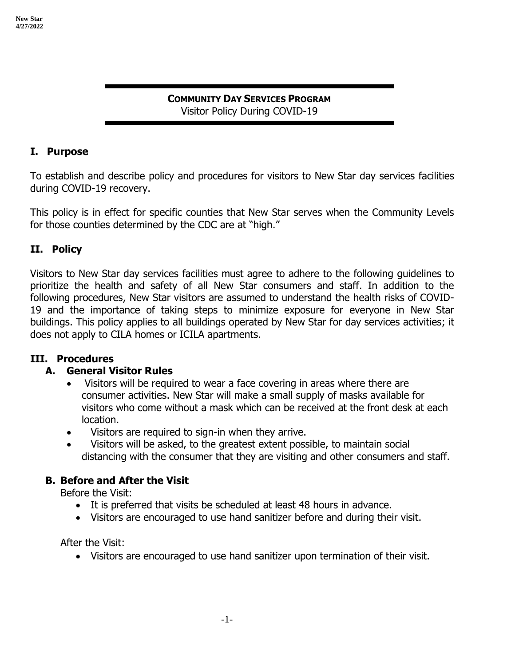#### **COMMUNITY DAY SERVICES PROGRAM** Visitor Policy During COVID-19

## **I. Purpose**

To establish and describe policy and procedures for visitors to New Star day services facilities during COVID-19 recovery.

This policy is in effect for specific counties that New Star serves when the Community Levels for those counties determined by the CDC are at "high."

### **II. Policy**

Visitors to New Star day services facilities must agree to adhere to the following guidelines to prioritize the health and safety of all New Star consumers and staff. In addition to the following procedures, New Star visitors are assumed to understand the health risks of COVID-19 and the importance of taking steps to minimize exposure for everyone in New Star buildings. This policy applies to all buildings operated by New Star for day services activities; it does not apply to CILA homes or ICILA apartments.

#### **III. Procedures**

#### **A. General Visitor Rules**

- Visitors will be required to wear a face covering in areas where there are consumer activities. New Star will make a small supply of masks available for visitors who come without a mask which can be received at the front desk at each location.
- Visitors are required to sign-in when they arrive.
- Visitors will be asked, to the greatest extent possible, to maintain social distancing with the consumer that they are visiting and other consumers and staff.

## **B. Before and After the Visit**

Before the Visit:

- It is preferred that visits be scheduled at least 48 hours in advance.
- Visitors are encouraged to use hand sanitizer before and during their visit.

After the Visit:

• Visitors are encouraged to use hand sanitizer upon termination of their visit.